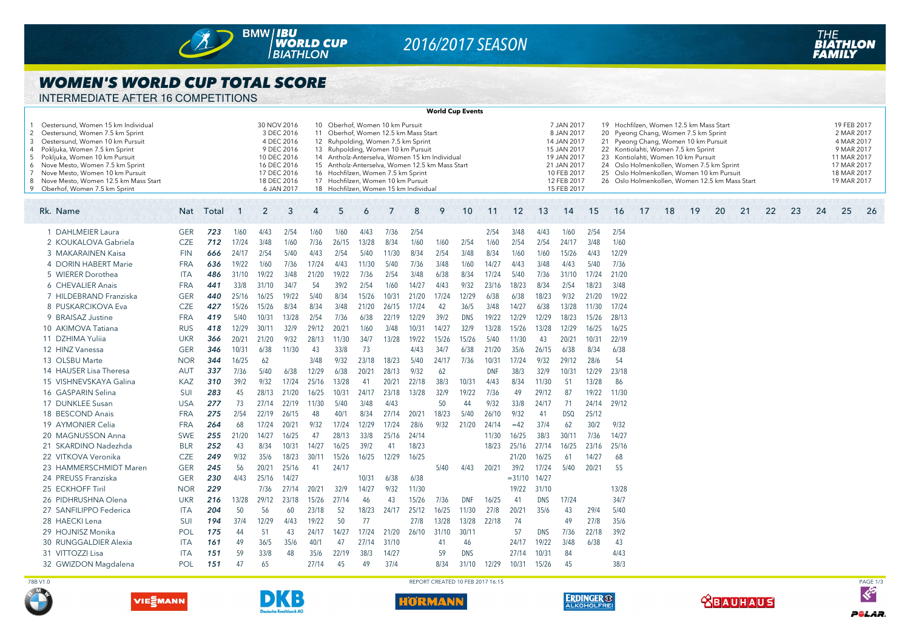

# *2016/2017 SEASON*

#### *WOMEN'S WORLD CUP TOTAL SCORE*

INTERMEDIATE AFTER 16 COMPETITIONS

| <b>World Cup Events</b>                                                                                                                                                                                                                                                                                                                    |            |       |       |       |                                                                                                                                 |                                                                                                                                                                                                                                                                                                                                                                                    |       |                |       |       |       |            |       |           |                                                                                                                                                                                                                                                                                                                                                                                                                                                                                        |       |       |       |    |    |    |    |    |    |                                                                                                                   |    |    |     |  |  |
|--------------------------------------------------------------------------------------------------------------------------------------------------------------------------------------------------------------------------------------------------------------------------------------------------------------------------------------------|------------|-------|-------|-------|---------------------------------------------------------------------------------------------------------------------------------|------------------------------------------------------------------------------------------------------------------------------------------------------------------------------------------------------------------------------------------------------------------------------------------------------------------------------------------------------------------------------------|-------|----------------|-------|-------|-------|------------|-------|-----------|----------------------------------------------------------------------------------------------------------------------------------------------------------------------------------------------------------------------------------------------------------------------------------------------------------------------------------------------------------------------------------------------------------------------------------------------------------------------------------------|-------|-------|-------|----|----|----|----|----|----|-------------------------------------------------------------------------------------------------------------------|----|----|-----|--|--|
| Oestersund, Women 15 km Individua<br>2 Oestersund, Women 7.5 km Sprint<br>Oestersund, Women 10 km Pursuit<br>3<br>4 Pokljuka, Women 7.5 km Sprint<br>5 Pokljuka, Women 10 km Pursuit<br>6 Nove Mesto, Women 7.5 km Sprint<br>7 Nove Mesto, Women 10 km Pursuit<br>8 Nove Mesto, Women 12.5 km Mass Start<br>9 Oberhof, Women 7.5 km Sprint |            |       |       |       | 30 NOV 2016<br>3 DEC 2016<br>4 DEC 2016<br>9 DEC 2016<br>10 DEC 2016<br>16 DEC 2016<br>17 DEC 2016<br>18 DEC 2016<br>6 JAN 2017 | Oberhof, Women 10 km Pursuit<br>10<br>11 Oberhof, Women 12.5 km Mass Start<br>12 Ruhpolding, Women 7.5 km Sprint<br>Ruhpolding, Women 10 km Pursuit<br>13<br>14 Antholz-Anterselva, Women 15 km Individual<br>15 Antholz-Anterselva, Women 12.5 km Mass Start<br>16 Hochfilzen, Women 7.5 km Sprint<br>17 Hochfilzen, Women 10 km Pursuit<br>18 Hochfilzen, Women 15 km Individual |       |                |       |       |       |            |       |           | 7 JAN 2017<br>19 Hochfilzen, Women 12.5 km Mass Start<br>8 JAN 2017<br>20 Pyeong Chang, Women 7.5 km Sprint<br>14 JAN 2017<br>21 Pyeong Chang, Women 10 km Pursuit<br>15 JAN 2017<br>22 Kontiolahti, Women 7.5 km Sprint<br>19 JAN 2017<br>23 Kontiolahti, Women 10 km Pursuit<br>24 Oslo Holmenkollen, Women 7.5 km Sprint<br>21 JAN 2017<br>25 Oslo Holmenkollen, Women 10 km Pursuit<br>10 FEB 2017<br>26 Oslo Holmenkollen, Women 12.5 km Mass Start<br>12 FEB 2017<br>15 FEB 2017 |       |       |       |    |    |    |    |    |    | 19 FEB 2017<br>2 MAR 2017<br>4 MAR 2017<br>9 MAR 2017<br>11 MAR 2017<br>17 MAR 2017<br>18 MAR 2017<br>19 MAR 2017 |    |    |     |  |  |
| Rk. Name                                                                                                                                                                                                                                                                                                                                   | <b>Nat</b> | Total | -1    | 2     | 3                                                                                                                               | ⊿                                                                                                                                                                                                                                                                                                                                                                                  | 5     | $\overline{6}$ | 7     | 8     | 9     | 10         | 11    | 12        | 13                                                                                                                                                                                                                                                                                                                                                                                                                                                                                     | 14    | 15    | 16    | 17 | 18 | 19 | 20 | 21 | 22 | 23                                                                                                                | 24 | 25 | -26 |  |  |
| 1 DAHLMEIER Laura                                                                                                                                                                                                                                                                                                                          | <b>GER</b> | 723   | 1/60  | 4/43  | 2/54                                                                                                                            | 1/60                                                                                                                                                                                                                                                                                                                                                                               | 1/60  | 4/43           | 7/36  | 2/54  |       |            | 2/54  | 3/48      | 4/43                                                                                                                                                                                                                                                                                                                                                                                                                                                                                   | 1/60  | 2/54  | 2/54  |    |    |    |    |    |    |                                                                                                                   |    |    |     |  |  |
| 2 KOUKALOVA Gabriela                                                                                                                                                                                                                                                                                                                       | <b>CZE</b> | 712   | 17/24 | 3/48  | 1/60                                                                                                                            | 7/36                                                                                                                                                                                                                                                                                                                                                                               | 26/15 | 13/28          | 8/34  | 1/60  | 1/60  | 2/54       | 1/60  | 2/54      | 2/54                                                                                                                                                                                                                                                                                                                                                                                                                                                                                   | 24/17 | 3/48  | 1/60  |    |    |    |    |    |    |                                                                                                                   |    |    |     |  |  |
| 3 MAKARAINEN Kaisa                                                                                                                                                                                                                                                                                                                         | <b>FIN</b> | 666   | 24/17 | 2/54  | 5/40                                                                                                                            | 4/43                                                                                                                                                                                                                                                                                                                                                                               | 2/54  | 5/40           | 11/30 | 8/34  | 2/54  | 3/48       | 8/34  | 1/60      | 1/60                                                                                                                                                                                                                                                                                                                                                                                                                                                                                   | 15/26 | 4/43  | 12/29 |    |    |    |    |    |    |                                                                                                                   |    |    |     |  |  |
| 4 DORIN HABERT Marie                                                                                                                                                                                                                                                                                                                       | <b>FRA</b> | 636   | 19/22 | 1/60  | 7/36                                                                                                                            | 17/24                                                                                                                                                                                                                                                                                                                                                                              | 4/43  | 11/30          | 5/40  | 7/36  | 3/48  | 1/60       | 14/27 | 4/43      | 3/48                                                                                                                                                                                                                                                                                                                                                                                                                                                                                   | 4/43  | 5/40  | 7/36  |    |    |    |    |    |    |                                                                                                                   |    |    |     |  |  |
| 5 WIERER Dorothea                                                                                                                                                                                                                                                                                                                          | <b>ITA</b> | 486   | 31/10 | 19/22 | 3/48                                                                                                                            | 21/20                                                                                                                                                                                                                                                                                                                                                                              | 19/22 | 7/36           | 2/54  | 3/48  | 6/38  | 8/34       | 17/24 | 5/40      | 7/36                                                                                                                                                                                                                                                                                                                                                                                                                                                                                   | 31/10 | 17/24 | 21/20 |    |    |    |    |    |    |                                                                                                                   |    |    |     |  |  |
| 6 CHEVALIER Anais                                                                                                                                                                                                                                                                                                                          | <b>FRA</b> | 441   | 33/8  | 31/10 | 34/7                                                                                                                            | 54                                                                                                                                                                                                                                                                                                                                                                                 | 39/2  | 2/54           | 1/60  | 14/27 | 4/43  | 9/32       | 23/16 | 18/23     | 8/34                                                                                                                                                                                                                                                                                                                                                                                                                                                                                   | 2/54  | 18/23 | 3/48  |    |    |    |    |    |    |                                                                                                                   |    |    |     |  |  |
| 7 HILDEBRAND Franziska                                                                                                                                                                                                                                                                                                                     | <b>GER</b> | 440   | 25/16 | 16/25 | 19/22                                                                                                                           | 5/40                                                                                                                                                                                                                                                                                                                                                                               | 8/34  | 15/26          | 10/31 | 21/20 | 17/24 | 12/29      | 6/38  | 6/38      | 18/23                                                                                                                                                                                                                                                                                                                                                                                                                                                                                  | 9/32  | 21/20 | 19/22 |    |    |    |    |    |    |                                                                                                                   |    |    |     |  |  |
| 8 PUSKARCIKOVA Eva                                                                                                                                                                                                                                                                                                                         | <b>CZE</b> | 427   | 15/26 | 15/26 | 8/34                                                                                                                            | 8/34                                                                                                                                                                                                                                                                                                                                                                               | 3/48  | 21/20          | 26/15 | 17/24 | 42    | 36/5       | 3/48  | 14/27     | 6/38                                                                                                                                                                                                                                                                                                                                                                                                                                                                                   | 13/28 | 11/30 | 17/24 |    |    |    |    |    |    |                                                                                                                   |    |    |     |  |  |
| 9 BRAISAZ Justine                                                                                                                                                                                                                                                                                                                          | <b>FRA</b> | 419   | 5/40  | 10/31 | 13/28                                                                                                                           | 2/54                                                                                                                                                                                                                                                                                                                                                                               | 7/36  | 6/38           | 22/19 | 12/29 | 39/2  | <b>DNS</b> | 19/22 | 12/29     | 12/29                                                                                                                                                                                                                                                                                                                                                                                                                                                                                  | 18/23 | 15/26 | 28/13 |    |    |    |    |    |    |                                                                                                                   |    |    |     |  |  |
| 10 AKIMOVA Tatiana                                                                                                                                                                                                                                                                                                                         | <b>RUS</b> | 418   | 12/29 | 30/11 | 32/9                                                                                                                            | 29/12                                                                                                                                                                                                                                                                                                                                                                              | 20/21 | 1/60           | 3/48  | 10/31 | 14/27 | 32/9       | 13/28 | 15/26     | 13/28                                                                                                                                                                                                                                                                                                                                                                                                                                                                                  | 12/29 | 16/25 | 16/25 |    |    |    |    |    |    |                                                                                                                   |    |    |     |  |  |
| 11 DZHIMA Yulija                                                                                                                                                                                                                                                                                                                           | <b>UKR</b> | 366   | 20/21 | 21/20 | 9/32                                                                                                                            | 28/13                                                                                                                                                                                                                                                                                                                                                                              | 11/30 | 34/7           | 13/28 | 19/22 | 15/26 | 15/26      | 5/40  | 11/30     | 43                                                                                                                                                                                                                                                                                                                                                                                                                                                                                     | 20/21 | 10/31 | 22/19 |    |    |    |    |    |    |                                                                                                                   |    |    |     |  |  |
| 12 HINZ Vanessa                                                                                                                                                                                                                                                                                                                            | <b>GER</b> | 346   | 10/31 | 6/38  | 11/30                                                                                                                           | 43                                                                                                                                                                                                                                                                                                                                                                                 | 33/8  | 73             |       | 4/43  | 34/7  | 6/38       | 21/20 | 35/6      | 26/15                                                                                                                                                                                                                                                                                                                                                                                                                                                                                  | 6/38  | 8/34  | 6/38  |    |    |    |    |    |    |                                                                                                                   |    |    |     |  |  |
| 13 OLSBU Marte                                                                                                                                                                                                                                                                                                                             | <b>NOR</b> | 344   | 16/25 | 62    |                                                                                                                                 | 3/48                                                                                                                                                                                                                                                                                                                                                                               | 9/32  | 23/18          | 18/23 | 5/40  | 24/17 | 7/36       | 10/31 | 17/24     | 9/32                                                                                                                                                                                                                                                                                                                                                                                                                                                                                   | 29/12 | 28/6  | 54    |    |    |    |    |    |    |                                                                                                                   |    |    |     |  |  |
| 14 HAUSER Lisa Theresa                                                                                                                                                                                                                                                                                                                     | <b>AUT</b> | 337   | 7/36  | 5/40  | 6/38                                                                                                                            | 12/29                                                                                                                                                                                                                                                                                                                                                                              | 6/38  | 20/21          | 28/13 | 9/32  | 62    |            | DNF   | 38/3      | 32/9                                                                                                                                                                                                                                                                                                                                                                                                                                                                                   | 10/31 | 12/29 | 23/18 |    |    |    |    |    |    |                                                                                                                   |    |    |     |  |  |
| 15 VISHNEVSKAYA Galina                                                                                                                                                                                                                                                                                                                     | <b>KAZ</b> | 310   | 39/2  | 9/32  | 17/24                                                                                                                           | 25/16                                                                                                                                                                                                                                                                                                                                                                              | 13/28 | 41             | 20/21 | 22/18 | 38/3  | 10/31      | 4/43  | 8/34      | 11/30                                                                                                                                                                                                                                                                                                                                                                                                                                                                                  | 51    | 13/28 | 86    |    |    |    |    |    |    |                                                                                                                   |    |    |     |  |  |
| 16 GASPARIN Selina                                                                                                                                                                                                                                                                                                                         | SUI        | 283   | 45    | 28/13 | 21/20                                                                                                                           | 16/25                                                                                                                                                                                                                                                                                                                                                                              | 10/31 | 24/17          | 23/18 | 13/28 | 32/9  | 19/22      | 7/36  | 49        | 29/12                                                                                                                                                                                                                                                                                                                                                                                                                                                                                  | 87    | 19/22 | 11/30 |    |    |    |    |    |    |                                                                                                                   |    |    |     |  |  |
| 17 DUNKLEE Susan                                                                                                                                                                                                                                                                                                                           | <b>USA</b> | 277   | 73    | 27/14 | 22/19                                                                                                                           | 11/30                                                                                                                                                                                                                                                                                                                                                                              | 5/40  | 3/48           | 4/43  |       | 50    | 44         | 9/32  | 33/8      | 24/17                                                                                                                                                                                                                                                                                                                                                                                                                                                                                  | 71    | 24/14 | 29/12 |    |    |    |    |    |    |                                                                                                                   |    |    |     |  |  |
| 18 BESCOND Anais                                                                                                                                                                                                                                                                                                                           | <b>FRA</b> | 275   | 2/54  | 22/19 | 26/15                                                                                                                           | 48                                                                                                                                                                                                                                                                                                                                                                                 | 40/1  | 8/34           | 27/14 | 20/21 | 18/23 | 5/40       | 26/10 | 9/32      | 41                                                                                                                                                                                                                                                                                                                                                                                                                                                                                     | DSQ   | 25/12 |       |    |    |    |    |    |    |                                                                                                                   |    |    |     |  |  |
| 19 AYMONIER Celia                                                                                                                                                                                                                                                                                                                          | <b>FRA</b> | 264   | 68    | 17/24 | 20/21                                                                                                                           | 9/32                                                                                                                                                                                                                                                                                                                                                                               | 17/24 | 12/29          | 17/24 | 28/6  | 9/32  | 21/20      | 24/14 | $=42$     | 37/4                                                                                                                                                                                                                                                                                                                                                                                                                                                                                   | 62    | 30/2  | 9/32  |    |    |    |    |    |    |                                                                                                                   |    |    |     |  |  |
| 20 MAGNUSSON Anna                                                                                                                                                                                                                                                                                                                          | <b>SWE</b> | 255   | 21/20 | 14/27 | 16/25                                                                                                                           | 47                                                                                                                                                                                                                                                                                                                                                                                 | 28/13 | 33/8           | 25/16 | 24/14 |       |            | 11/30 | 16/25     | 38/3                                                                                                                                                                                                                                                                                                                                                                                                                                                                                   | 30/11 | 7/36  | 14/27 |    |    |    |    |    |    |                                                                                                                   |    |    |     |  |  |
| 21 SKARDINO Nadezhda                                                                                                                                                                                                                                                                                                                       | <b>BLR</b> | 252   | 43    | 8/34  | 10/31                                                                                                                           | 14/27                                                                                                                                                                                                                                                                                                                                                                              | 16/25 | 39/2           | 41    | 18/23 |       |            | 18/23 | 25/16     | 27/14                                                                                                                                                                                                                                                                                                                                                                                                                                                                                  | 16/25 | 23/16 | 25/16 |    |    |    |    |    |    |                                                                                                                   |    |    |     |  |  |
| 22 VITKOVA Veronika                                                                                                                                                                                                                                                                                                                        | <b>CZE</b> | 249   | 9/32  | 35/6  | 18/23                                                                                                                           | $30/1^{\circ}$                                                                                                                                                                                                                                                                                                                                                                     | 15/26 | 16/25          | 12/29 | 16/25 |       |            |       | 21/20     | 16/25                                                                                                                                                                                                                                                                                                                                                                                                                                                                                  | 61    | 14/27 | 68    |    |    |    |    |    |    |                                                                                                                   |    |    |     |  |  |
| 23 HAMMERSCHMIDT Maren                                                                                                                                                                                                                                                                                                                     | <b>GER</b> | 245   | 56    | 20/21 | 25/16                                                                                                                           | 41                                                                                                                                                                                                                                                                                                                                                                                 | 24/17 |                |       |       | 5/40  | 4/43       | 20/21 | 39/2      | 17/24                                                                                                                                                                                                                                                                                                                                                                                                                                                                                  | 5/40  | 20/21 | 55    |    |    |    |    |    |    |                                                                                                                   |    |    |     |  |  |
| 24 PREUSS Franziska                                                                                                                                                                                                                                                                                                                        | <b>GER</b> | 230   | 4/43  | 25/16 | 14/27                                                                                                                           |                                                                                                                                                                                                                                                                                                                                                                                    |       | 10/31          | 6/38  | 6/38  |       |            |       | $= 31/10$ | 14/27                                                                                                                                                                                                                                                                                                                                                                                                                                                                                  |       |       |       |    |    |    |    |    |    |                                                                                                                   |    |    |     |  |  |
| 25 ECKHOFF Tiril                                                                                                                                                                                                                                                                                                                           | <b>NOR</b> | 229   |       | 7/36  | 27/14                                                                                                                           | 20/21                                                                                                                                                                                                                                                                                                                                                                              | 32/9  | 14/27          | 9/32  | 11/30 |       |            |       | 19/22     | 31/10                                                                                                                                                                                                                                                                                                                                                                                                                                                                                  |       |       | 13/28 |    |    |    |    |    |    |                                                                                                                   |    |    |     |  |  |
| 26 PIDHRUSHNA Olena                                                                                                                                                                                                                                                                                                                        | <b>UKR</b> | 216   | 13/28 | 29/12 | 23/18                                                                                                                           | 15/26                                                                                                                                                                                                                                                                                                                                                                              | 27/14 | 46             | 43    | 15/26 | 7/36  | <b>DNF</b> | 16/25 | 41        | <b>DNS</b>                                                                                                                                                                                                                                                                                                                                                                                                                                                                             | 17/24 |       | 34/7  |    |    |    |    |    |    |                                                                                                                   |    |    |     |  |  |
| 27 SANFILIPPO Federica                                                                                                                                                                                                                                                                                                                     | <b>ITA</b> | 204   | 50    | 56    | 60                                                                                                                              | 23/18                                                                                                                                                                                                                                                                                                                                                                              | 52    | 18/23          | 24/17 | 25/12 | 16/25 | 11/30      | 27/8  | 20/21     | 35/6                                                                                                                                                                                                                                                                                                                                                                                                                                                                                   | 43    | 29/4  | 5/40  |    |    |    |    |    |    |                                                                                                                   |    |    |     |  |  |
| 28 HAECKI Lena                                                                                                                                                                                                                                                                                                                             | SUI        | 194   | 37/4  | 12/29 | 4/43                                                                                                                            | 19/22                                                                                                                                                                                                                                                                                                                                                                              | 50    | 77             |       | 27/8  | 13/28 | 13/28      | 22/18 | 74        |                                                                                                                                                                                                                                                                                                                                                                                                                                                                                        | 49    | 27/8  | 35/6  |    |    |    |    |    |    |                                                                                                                   |    |    |     |  |  |
| 29 HOJNISZ Monika                                                                                                                                                                                                                                                                                                                          | POL        | 175   | 44    | 51    | 43                                                                                                                              | 24/17                                                                                                                                                                                                                                                                                                                                                                              | 14/27 | 17/24          | 21/20 | 26/10 | 31/10 | 30/11      |       | 57        | <b>DNS</b>                                                                                                                                                                                                                                                                                                                                                                                                                                                                             | 7/36  | 22/18 | 39/2  |    |    |    |    |    |    |                                                                                                                   |    |    |     |  |  |
| <b>30 RUNGGALDIER Alexia</b>                                                                                                                                                                                                                                                                                                               | <b>ITA</b> | 161   | 49    | 36/5  | 35/6                                                                                                                            | 40/1                                                                                                                                                                                                                                                                                                                                                                               | 47    | 27/14          | 31/10 |       | 41    | 46         |       | 24/17     | 19/22                                                                                                                                                                                                                                                                                                                                                                                                                                                                                  | 3/48  | 6/38  | 43    |    |    |    |    |    |    |                                                                                                                   |    |    |     |  |  |
| 31 VITTOZZI Lisa                                                                                                                                                                                                                                                                                                                           | <b>ITA</b> | 151   | 59    | 33/8  | 48                                                                                                                              | 35/6                                                                                                                                                                                                                                                                                                                                                                               | 22/19 | 38/3           | 14/27 |       | 59    | <b>DNS</b> |       | 27/14     | 10/31                                                                                                                                                                                                                                                                                                                                                                                                                                                                                  | 84    |       | 4/43  |    |    |    |    |    |    |                                                                                                                   |    |    |     |  |  |
| 32 GWIZDON Magdalena                                                                                                                                                                                                                                                                                                                       | POL        | 151   | 47    | 65    |                                                                                                                                 | 27/14                                                                                                                                                                                                                                                                                                                                                                              | 45    | 49             | 37/4  |       | 8/34  | 31/10      | 12/29 | 10/31     | 15/26                                                                                                                                                                                                                                                                                                                                                                                                                                                                                  | 45    |       | 38/3  |    |    |    |    |    |    |                                                                                                                   |    |    |     |  |  |















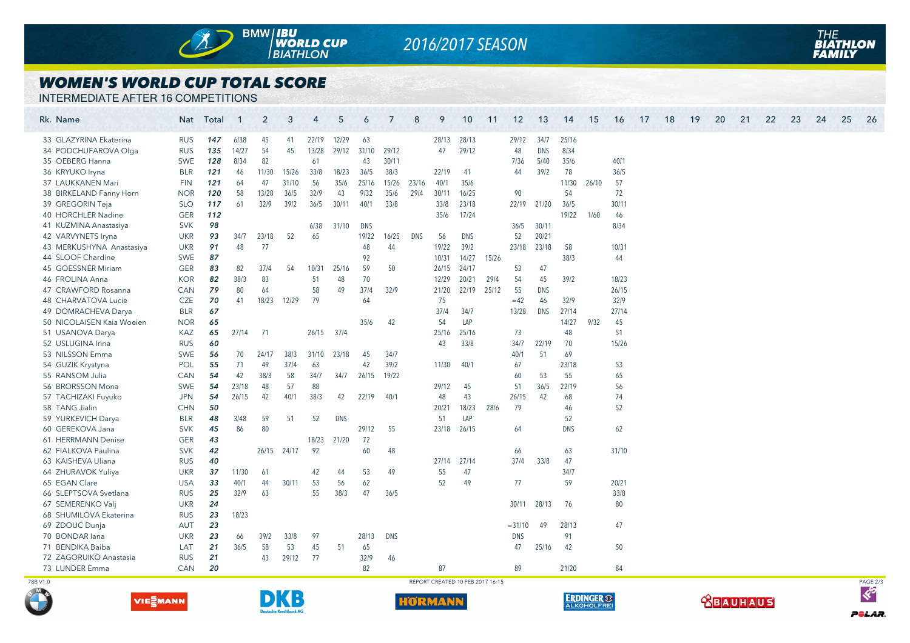

# *2016/2017 SEASON*

#### *WOMEN'S WORLD CUP TOTAL SCORE*

INTERMEDIATE AFTER 16 COMPETITIONS

**VIESMANN** 

|          | Rk. Name                  |            | Nat Total | $\mathbf{1}$ | $\overline{2}$ | 3           | $\overline{4}$ | 5          | 6          | 7          | 8          | 9                                | 10         | 11    | 12         | 13         | 14         | 15    | 16    | 17 | 18 | 19 | 20 | 21 | 22 | 23 | 24 | 25 | 26       |
|----------|---------------------------|------------|-----------|--------------|----------------|-------------|----------------|------------|------------|------------|------------|----------------------------------|------------|-------|------------|------------|------------|-------|-------|----|----|----|----|----|----|----|----|----|----------|
|          | 33 GLAZYRINA Ekaterina    | <b>RUS</b> | 147       | 6/38         | 45             | 41          | 22/19          | 12/29      | 63         |            |            | 28/13                            | 28/13      |       | 29/12      | 34/7       | 25/16      |       |       |    |    |    |    |    |    |    |    |    |          |
|          | 34 PODCHUFAROVA Olga      | <b>RUS</b> | 135       | 14/27        | 54             | 45          | 13/28          | 29/12      | 31/10      | 29/12      |            | 47                               | 29/12      |       | 48         | <b>DNS</b> | 8/34       |       |       |    |    |    |    |    |    |    |    |    |          |
|          | 35 OEBERG Hanna           | <b>SWE</b> | 128       | 8/34         | 82             |             | 61             |            | 43         | 30/11      |            |                                  |            |       | 7/36       | 5/40       | 35/6       |       | 40/1  |    |    |    |    |    |    |    |    |    |          |
|          | 36 KRYUKO Iryna           | <b>BLR</b> | 121       | 46           | 11/30          | 15/26       | 33/8           | 18/23      | 36/5       | 38/3       |            | 22/19                            | 41         |       | 44         | 39/2       | 78         |       | 36/5  |    |    |    |    |    |    |    |    |    |          |
|          | 37 LAUKKANEN Mari         | <b>FIN</b> | 121       | 64           | 47             | 31/10       | 56             | 35/6       | 25/16      | 15/26      | 23/16      | 40/1                             | 35/6       |       |            |            | 11/30      | 26/10 | 57    |    |    |    |    |    |    |    |    |    |          |
|          | 38 BIRKELAND Fanny Horn   | <b>NOR</b> | 120       | 58           | 13/28          | 36/5        | 32/9           | 43         | 9/32       | 35/6       | 29/4       | 30/11                            | 16/25      |       | 90         |            | 54         |       | 72    |    |    |    |    |    |    |    |    |    |          |
|          | 39 GREGORIN Teja          | <b>SLO</b> | 117       | 61           | 32/9           | 39/2        | 36/5           | 30/11      | 40/1       | 33/8       |            | 33/8                             | 23/18      |       | 22/19      | 21/20      | 36/5       |       | 30/11 |    |    |    |    |    |    |    |    |    |          |
|          | 40 HORCHLER Nadine        | <b>GER</b> | 112       |              |                |             |                |            |            |            |            | 35/6                             | 17/24      |       |            |            | 19/22      | 1/60  | 46    |    |    |    |    |    |    |    |    |    |          |
|          | 41 KUZMINA Anastasiya     | <b>SVK</b> | 98        |              |                |             | 6/38           | 31/10      | <b>DNS</b> |            |            |                                  |            |       | 36/5       | 30/11      |            |       | 8/34  |    |    |    |    |    |    |    |    |    |          |
|          | 42 VARVYNETS Iryna        | <b>UKR</b> | 93        | 34/7         | 23/18          | 52          | 65             |            | 19/22      | 16/25      | <b>DNS</b> | 56                               | <b>DNS</b> |       | 52         | 20/21      |            |       |       |    |    |    |    |    |    |    |    |    |          |
|          | 43 MERKUSHYNA Anastasiya  | <b>UKR</b> | 91        | 48           | 77             |             |                |            | 48         | 44         |            | 19/22                            | 39/2       |       | 23/18      | 23/18      | 58         |       | 10/31 |    |    |    |    |    |    |    |    |    |          |
|          | 44 SLOOF Chardine         | SWE        | 87        |              |                |             |                |            | 92         |            |            | 10/31                            | 14/27      | 15/26 |            |            | 38/3       |       | 44    |    |    |    |    |    |    |    |    |    |          |
|          | 45 GOESSNER Miriam        | <b>GER</b> | 83        | 82           | 37/4           | 54          | 10/31          | 25/16      | 59         | 50         |            | 26/15                            | 24/17      |       | 53         | 47         |            |       |       |    |    |    |    |    |    |    |    |    |          |
|          | 46 FROLINA Anna           | <b>KOR</b> | 82        | 38/3         | 83             |             | 51             | 48         | 70         |            |            | 12/29                            | 20/21      | 29/4  | 54         | 45         | 39/2       |       | 18/23 |    |    |    |    |    |    |    |    |    |          |
|          | 47 CRAWFORD Rosanna       | <b>CAN</b> | 79        | 80           | 64             |             | 58             | 49         | 37/4       | 32/9       |            | 21/20                            | 22/19      | 25/12 | 55         | <b>DNS</b> |            |       | 26/15 |    |    |    |    |    |    |    |    |    |          |
|          | 48 CHARVATOVA Lucie       | <b>CZE</b> | 70        | 41           | 18/23          | 12/29       | 79             |            | 64         |            |            | 75                               |            |       | $=42$      | 46         | 32/9       |       | 32/9  |    |    |    |    |    |    |    |    |    |          |
|          | 49 DOMRACHEVA Darya       | <b>BLR</b> | 67        |              |                |             |                |            |            |            |            | 37/4                             | 34/7       |       | 13/28      | DNS        | 27/14      |       | 27/14 |    |    |    |    |    |    |    |    |    |          |
|          | 50 NICOLAISEN Kaia Woeien | <b>NOR</b> | 65        |              |                |             |                |            | 35/6       | 42         |            | 54                               | LAP        |       |            |            | 14/27      | 9/32  | 45    |    |    |    |    |    |    |    |    |    |          |
|          | 51 USANOVA Darya          | KAZ        | 65        | 27/14        | 71             |             | 26/15          | 37/4       |            |            |            | 25/16                            | 25/16      |       | 73         |            | 48         |       | 51    |    |    |    |    |    |    |    |    |    |          |
|          | 52 USLUGINA Irina         | <b>RUS</b> | 60        |              |                |             |                |            |            |            |            | 43                               | 33/8       |       | 34/7       | 22/19      | 70         |       | 15/26 |    |    |    |    |    |    |    |    |    |          |
|          | 53 NILSSON Emma           | <b>SWE</b> | 56        | 70           | 24/17          | 38/3        | 31/10          | 23/18      | 45         | 34/7       |            |                                  |            |       | 40/1       | 51         | 69         |       |       |    |    |    |    |    |    |    |    |    |          |
|          | 54 GUZIK Krystyna         | POL        | 55        | 71           | 49             | 37/4        | 63             |            | 42         | 39/2       |            | 11/30                            | 40/1       |       | 67         |            | 23/18      |       | 53    |    |    |    |    |    |    |    |    |    |          |
|          | 55 RANSOM Julia           | CAN        | 54        | 42           | 38/3           | 58          | 34/7           | 34/7       | 26/15      | 19/22      |            |                                  |            |       | 60         | 53         | 55         |       | 65    |    |    |    |    |    |    |    |    |    |          |
|          | 56 BRORSSON Mona          | <b>SWE</b> | 54        | 23/18        | 48             | 57          | 88             |            |            |            |            | 29/12                            | 45         |       | 51         | 36/5       | 22/19      |       | 56    |    |    |    |    |    |    |    |    |    |          |
|          | 57 TACHIZAKI Fuyuko       | <b>JPN</b> | 54        | 26/15        | 42             | 40/1        | 38/3           | 42         | 22/19      | 40/1       |            | 48                               | 43         |       | 26/15      | 42         | 68         |       | 74    |    |    |    |    |    |    |    |    |    |          |
|          | 58 TANG Jialin            | <b>CHN</b> | 50        |              |                |             |                |            |            |            |            | 20/21                            | 18/23      | 28/6  | 79         |            | 46         |       | 52    |    |    |    |    |    |    |    |    |    |          |
|          | 59 YURKEVICH Darya        | <b>BLR</b> | 48        | 3/48         | 59             | 51          | 52             | <b>DNS</b> |            |            |            | 51                               | LAP        |       |            |            | 52         |       |       |    |    |    |    |    |    |    |    |    |          |
|          | 60 GEREKOVA Jana          | <b>SVK</b> | 45        | 86           | 80             |             |                |            | 29/12      | 55         |            | 23/18                            | 26/15      |       | 64         |            | <b>DNS</b> |       | 62    |    |    |    |    |    |    |    |    |    |          |
|          | 61 HERRMANN Denise        | <b>GER</b> | 43        |              |                |             | 18/23          | 21/20      | 72         |            |            |                                  |            |       |            |            |            |       |       |    |    |    |    |    |    |    |    |    |          |
|          | 62 FIALKOVA Paulina       | <b>SVK</b> | 42        |              |                | 26/15 24/17 | 92             |            | 60         | 48         |            |                                  |            |       | 66         |            | 63         |       | 31/10 |    |    |    |    |    |    |    |    |    |          |
|          | 63 KAISHEVA Uliana        | <b>RUS</b> | 40        |              |                |             |                |            |            |            |            | 27/14                            | 27/14      |       | 37/4       | 33/8       | 47         |       |       |    |    |    |    |    |    |    |    |    |          |
|          | 64 ZHURAVOK Yuliya        | <b>UKR</b> | 37        | 11/30        | 61             |             | 42             | 44         | 53         | 49         |            | 55                               | 47         |       |            |            | 34/7       |       |       |    |    |    |    |    |    |    |    |    |          |
|          | 65 EGAN Clare             | <b>USA</b> | 33        | 40/1         | 44             | 30/11       | 53             | 56         | 62         |            |            | 52                               | 49         |       | 77         |            | 59         |       | 20/21 |    |    |    |    |    |    |    |    |    |          |
|          | 66 SLEPTSOVA Svetlana     | <b>RUS</b> | 25        | 32/9         | 63             |             | 55             | 38/3       | 47         | 36/5       |            |                                  |            |       |            |            |            |       | 33/8  |    |    |    |    |    |    |    |    |    |          |
|          | 67 SEMERENKO Valj         | <b>UKR</b> | 24        |              |                |             |                |            |            |            |            |                                  |            |       | 30/11      | 28/13      | 76         |       | 80    |    |    |    |    |    |    |    |    |    |          |
|          | 68 SHUMILOVA Ekaterina    | <b>RUS</b> | 23        | 18/23        |                |             |                |            |            |            |            |                                  |            |       |            |            |            |       |       |    |    |    |    |    |    |    |    |    |          |
|          | 69 ZDOUC Dunja            | <b>AUT</b> | 23        |              |                |             |                |            |            |            |            |                                  |            |       | $= 31/10$  | 49         | 28/13      |       | 47    |    |    |    |    |    |    |    |    |    |          |
|          | 70 BONDAR lana            | <b>UKR</b> | 23        | 66           | 39/2           | 33/8        | 97             |            | 28/13      | <b>DNS</b> |            |                                  |            |       | <b>DNS</b> |            | 91         |       |       |    |    |    |    |    |    |    |    |    |          |
|          | 71 BENDIKA Baiba          | LAT        | 21        | 36/5         | 58             | 53          | 45             | 51         | 65         |            |            |                                  |            |       | 47         | 25/16      | 42         |       | 50    |    |    |    |    |    |    |    |    |    |          |
|          | 72 ZAGORUIKO Anastasia    | <b>RUS</b> | 21        |              | 43             | 29/12       | 77             |            | 32/9       | 46         |            |                                  |            |       |            |            |            |       |       |    |    |    |    |    |    |    |    |    |          |
|          | 73 LUNDER Emma            | <b>CAN</b> | 20        |              |                |             |                |            | 82         |            |            | 87                               |            |       | 89         |            | 21/20      |       | 84    |    |    |    |    |    |    |    |    |    |          |
| 78B V1.0 |                           |            |           |              |                |             |                |            |            |            |            | REPORT CREATED 10 FEB 2017 16:15 |            |       |            |            |            |       |       |    |    |    |    |    |    |    |    |    | PAGE 2/3 |





**<u> <u>CBAUHAUS</u>**</u>

 $\ll$ 

POLAR.